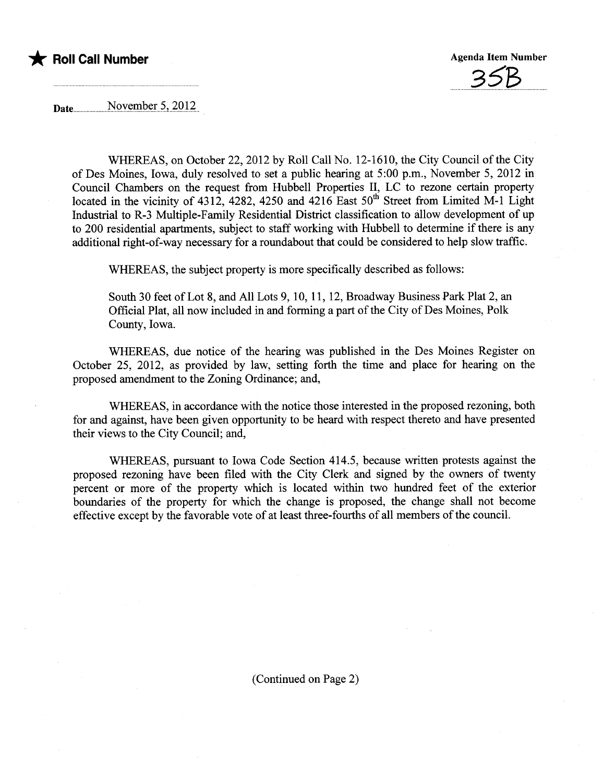

<u>30D. .</u>

Date..............NQy~n:l?~!..s.'-.7..Q.i.7...

WHEREAS, on October 22, 2012 by Roll Call No. 12-1610, the City Council of the City of Des Moines, Iowa, duly resolved to set a public hearng at 5:00 p.m., November 5, 2012 in Council Chambers on the request from Hubbell Properties II, LC to rezone certain property located in the vicinity of 4312, 4282, 4250 and 4216 East  $50^{th}$  Street from Limited M-1 Light Industrial to R-3 Multiple-Family Residential District classification to allow development of up to 200 residential apartments, subject to staff working with Hubbell to determine if there is any additional right-of-way necessary for a roundabout that could be considered to help slow traffic.

WHEREAS, the subject property is more specifically described as follows:

South 30 feet of Lot 8, and All Lots 9, 10, 11, 12, Broadway Business Park Plat 2, an Official Plat, all now included in and forming a part of the City of Des Moines, Polk County, Iowa.

WHEREAS, due notice of the hearing was published in the Des Moines Register on October 25, 2012, as provided by law, setting forth the time and place for hearng on the proposed amendment to the Zoning Ordinance; and,

WHEREAS, in accordance with the notice those interested in the proposed rezoning, both for and against, have been given opportunity to be heard with respect thereto and have presented their views to the City Council; and,

WHEREAS, pursuant to Iowa Code Section 414.5, because wrtten protests against the proposed rezoning have been filed with the City Clerk and signed by the owners of twenty percent or more of the property which is located within two hundred feet of the exterior boundaries of the property for which the change is proposed, the change shall not become effective except by the favorable vote of at least three-fourths of all members of the council.

(Continued on Page 2)